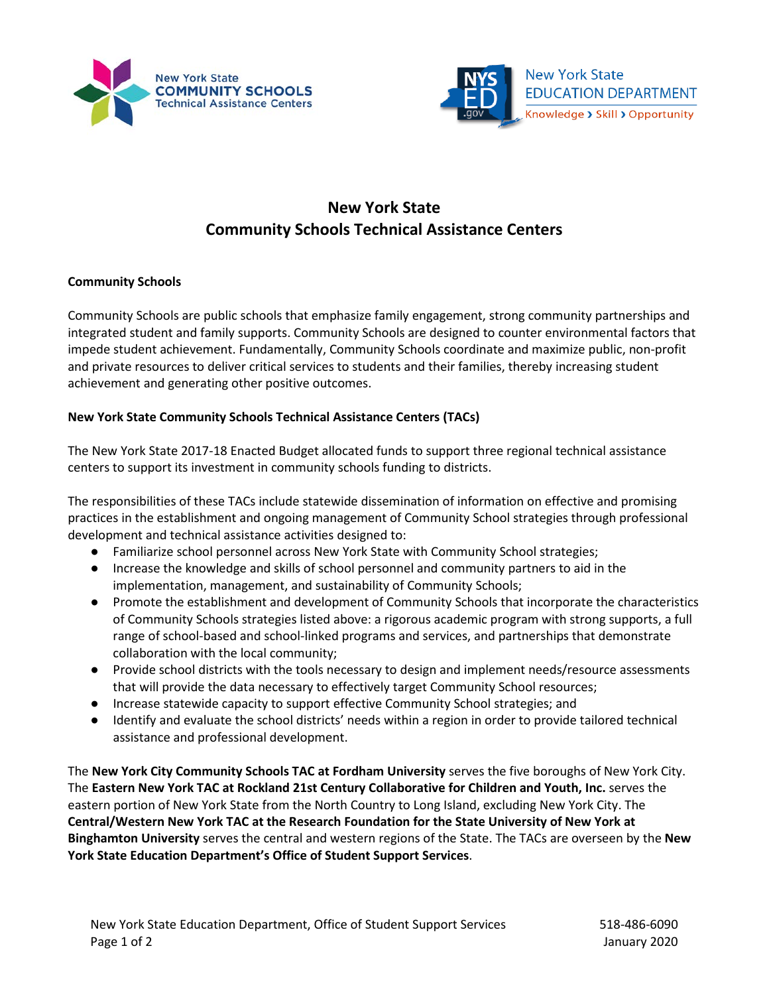



# **New York State Community Schools Technical Assistance Centers**

# **Community Schools**

Community Schools are public schools that emphasize family engagement, strong community partnerships and integrated student and family supports. Community Schools are designed to counter environmental factors that impede student achievement. Fundamentally, Community Schools coordinate and maximize public, non-profit and private resources to deliver critical services to students and their families, thereby increasing student achievement and generating other positive outcomes.

### **New York State Community Schools Technical Assistance Centers (TACs)**

The New York State 2017-18 Enacted Budget allocated funds to support three regional technical assistance centers to support its investment in community schools funding to districts.

The responsibilities of these TACs include statewide dissemination of information on effective and promising practices in the establishment and ongoing management of Community School strategies through professional development and technical assistance activities designed to:

- Familiarize school personnel across New York State with Community School strategies;
- Increase the knowledge and skills of school personnel and community partners to aid in the implementation, management, and sustainability of Community Schools;
- Promote the establishment and development of Community Schools that incorporate the characteristics of Community Schools strategies listed above: a rigorous academic program with strong supports, a full range of school-based and school-linked programs and services, and partnerships that demonstrate collaboration with the local community;
- Provide school districts with the tools necessary to design and implement needs/resource assessments that will provide the data necessary to effectively target Community School resources;
- Increase statewide capacity to support effective Community School strategies; and
- Identify and evaluate the school districts' needs within a region in order to provide tailored technical assistance and professional development.

The **New York City Community Schools TAC at Fordham University** serves the five boroughs of New York City. The **Eastern New York TAC at Rockland 21st Century Collaborative for Children and Youth, Inc.** serves the eastern portion of New York State from the North Country to Long Island, excluding New York City. The **Central/Western New York TAC at the Research Foundation for the State University of New York at Binghamton University** serves the central and western regions of the State. The TACs are overseen by the **New York State Education Department's Office of Student Support Services**.